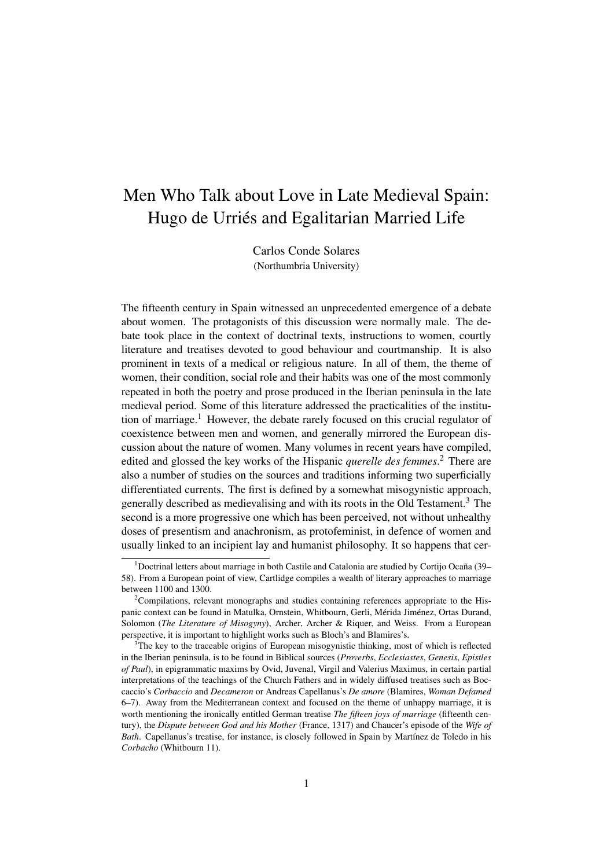## Men Who Talk about Love in Late Medieval Spain: Hugo de Urriés and Egalitarian Married Life

Carlos Conde Solares (Northumbria University)

The fifteenth century in Spain witnessed an unprecedented emergence of a debate about women. The protagonists of this discussion were normally male. The debate took place in the context of doctrinal texts, instructions to women, courtly literature and treatises devoted to good behaviour and courtmanship. It is also prominent in texts of a medical or religious nature. In all of them, the theme of women, their condition, social role and their habits was one of the most commonly repeated in both the poetry and prose produced in the Iberian peninsula in the late medieval period. Some of this literature addressed the practicalities of the institution of marriage.<sup>1</sup> However, the debate rarely focused on this crucial regulator of coexistence between men and women, and generally mirrored the European discussion about the nature of women. Many volumes in recent years have compiled, edited and glossed the key works of the Hispanic *querelle des femmes*. <sup>2</sup> There are also a number of studies on the sources and traditions informing two superficially differentiated currents. The first is defined by a somewhat misogynistic approach, generally described as medievalising and with its roots in the Old Testament.<sup>3</sup> The second is a more progressive one which has been perceived, not without unhealthy doses of presentism and anachronism, as protofeminist, in defence of women and usually linked to an incipient lay and humanist philosophy. It so happens that cer-

<sup>1</sup>Doctrinal letters about marriage in both Castile and Catalonia are studied by Cortijo Ocaña (39– 58). From a European point of view, Cartlidge compiles a wealth of literary approaches to marriage between 1100 and 1300.

 $2^2$ Compilations, relevant monographs and studies containing references appropriate to the Hispanic context can be found in Matulka, Ornstein, Whitbourn, Gerli, Mérida Jiménez, Ortas Durand, Solomon (*The Literature of Misogyny*), Archer, Archer & Riquer, and Weiss. From a European perspective, it is important to highlight works such as Bloch's and Blamires's.

<sup>&</sup>lt;sup>3</sup>The key to the traceable origins of European misogynistic thinking, most of which is reflected in the Iberian peninsula, is to be found in Biblical sources (*Proverbs*, *Ecclesiastes*, *Genesis*, *Epistles of Paul*), in epigrammatic maxims by Ovid, Juvenal, Virgil and Valerius Maximus, in certain partial interpretations of the teachings of the Church Fathers and in widely diffused treatises such as Boccaccio's *Corbaccio* and *Decameron* or Andreas Capellanus's *De amore* (Blamires, *Woman Defamed* 6–7). Away from the Mediterranean context and focused on the theme of unhappy marriage, it is worth mentioning the ironically entitled German treatise *The fifteen joys of marriage* (fifteenth century), the *Dispute between God and his Mother* (France, 1317) and Chaucer's episode of the *Wife of Bath*. Capellanus's treatise, for instance, is closely followed in Spain by Martínez de Toledo in his *Corbacho* (Whitbourn 11).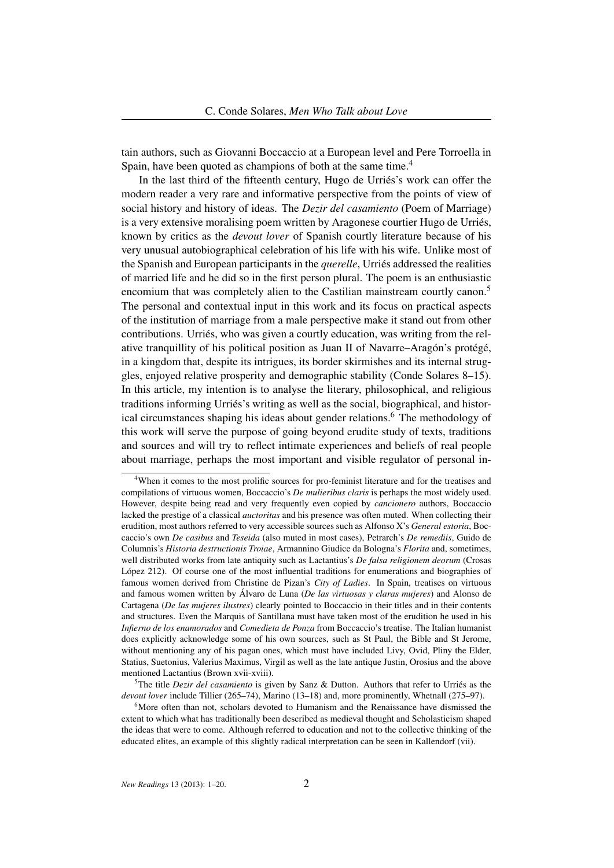tain authors, such as Giovanni Boccaccio at a European level and Pere Torroella in Spain, have been quoted as champions of both at the same time.<sup>4</sup>

In the last third of the fifteenth century, Hugo de Urriés's work can offer the modern reader a very rare and informative perspective from the points of view of social history and history of ideas. The *Dezir del casamiento* (Poem of Marriage) is a very extensive moralising poem written by Aragonese courtier Hugo de Urriés, known by critics as the *devout lover* of Spanish courtly literature because of his very unusual autobiographical celebration of his life with his wife. Unlike most of the Spanish and European participants in the *querelle*, Urriés addressed the realities of married life and he did so in the first person plural. The poem is an enthusiastic encomium that was completely alien to the Castilian mainstream courtly canon.<sup>5</sup> The personal and contextual input in this work and its focus on practical aspects of the institution of marriage from a male perspective make it stand out from other contributions. Urriés, who was given a courtly education, was writing from the relative tranquillity of his political position as Juan II of Navarre–Aragón's protégé, in a kingdom that, despite its intrigues, its border skirmishes and its internal struggles, enjoyed relative prosperity and demographic stability (Conde Solares 8–15). In this article, my intention is to analyse the literary, philosophical, and religious traditions informing Urriés's writing as well as the social, biographical, and historical circumstances shaping his ideas about gender relations.<sup>6</sup> The methodology of this work will serve the purpose of going beyond erudite study of texts, traditions and sources and will try to reflect intimate experiences and beliefs of real people about marriage, perhaps the most important and visible regulator of personal in-

<sup>5</sup>The title *Dezir del casamiento* is given by Sanz & Dutton. Authors that refer to Urriés as the *devout lover* include Tillier (265–74), Marino (13–18) and, more prominently, Whetnall (275–97).

<sup>&</sup>lt;sup>4</sup>When it comes to the most prolific sources for pro-feminist literature and for the treatises and compilations of virtuous women, Boccaccio's *De mulieribus claris* is perhaps the most widely used. However, despite being read and very frequently even copied by *cancionero* authors, Boccaccio lacked the prestige of a classical *auctoritas* and his presence was often muted. When collecting their erudition, most authors referred to very accessible sources such as Alfonso X's *General estoria*, Boccaccio's own *De casibus* and *Teseida* (also muted in most cases), Petrarch's *De remediis*, Guido de Columnis's *Historia destructionis Troiae*, Armannino Giudice da Bologna's *Florita* and, sometimes, well distributed works from late antiquity such as Lactantius's *De falsa religionem deorum* (Crosas López 212). Of course one of the most influential traditions for enumerations and biographies of famous women derived from Christine de Pizan's *City of Ladies*. In Spain, treatises on virtuous and famous women written by Álvaro de Luna (*De las virtuosas y claras mujeres*) and Alonso de Cartagena (*De las mujeres ilustres*) clearly pointed to Boccaccio in their titles and in their contents and structures. Even the Marquis of Santillana must have taken most of the erudition he used in his *Infierno de los enamorados* and *Comedieta de Ponza* from Boccaccio's treatise. The Italian humanist does explicitly acknowledge some of his own sources, such as St Paul, the Bible and St Jerome, without mentioning any of his pagan ones, which must have included Livy, Ovid, Pliny the Elder, Statius, Suetonius, Valerius Maximus, Virgil as well as the late antique Justin, Orosius and the above mentioned Lactantius (Brown xvii-xviii).

 $6$ More often than not, scholars devoted to Humanism and the Renaissance have dismissed the extent to which what has traditionally been described as medieval thought and Scholasticism shaped the ideas that were to come. Although referred to education and not to the collective thinking of the educated elites, an example of this slightly radical interpretation can be seen in Kallendorf (vii).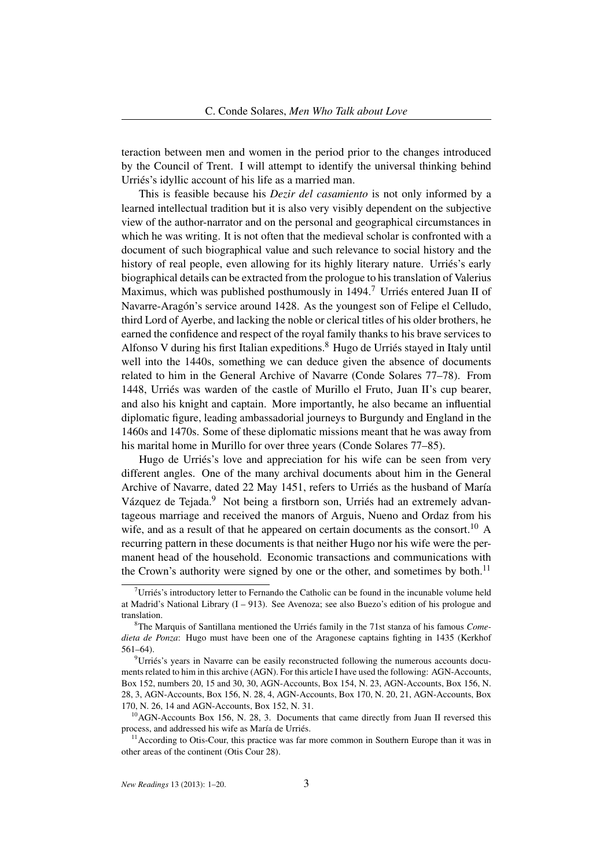teraction between men and women in the period prior to the changes introduced by the Council of Trent. I will attempt to identify the universal thinking behind Urriés's idyllic account of his life as a married man.

This is feasible because his *Dezir del casamiento* is not only informed by a learned intellectual tradition but it is also very visibly dependent on the subjective view of the author-narrator and on the personal and geographical circumstances in which he was writing. It is not often that the medieval scholar is confronted with a document of such biographical value and such relevance to social history and the history of real people, even allowing for its highly literary nature. Urriés's early biographical details can be extracted from the prologue to his translation of Valerius Maximus, which was published posthumously in 1494.<sup>7</sup> Urriés entered Juan II of Navarre-Aragón's service around 1428. As the youngest son of Felipe el Celludo, third Lord of Ayerbe, and lacking the noble or clerical titles of his older brothers, he earned the confidence and respect of the royal family thanks to his brave services to Alfonso V during his first Italian expeditions.<sup>8</sup> Hugo de Urriés stayed in Italy until well into the 1440s, something we can deduce given the absence of documents related to him in the General Archive of Navarre (Conde Solares 77–78). From 1448, Urriés was warden of the castle of Murillo el Fruto, Juan II's cup bearer, and also his knight and captain. More importantly, he also became an influential diplomatic figure, leading ambassadorial journeys to Burgundy and England in the 1460s and 1470s. Some of these diplomatic missions meant that he was away from his marital home in Murillo for over three years (Conde Solares 77–85).

Hugo de Urriés's love and appreciation for his wife can be seen from very different angles. One of the many archival documents about him in the General Archive of Navarre, dated 22 May 1451, refers to Urriés as the husband of María Vázquez de Tejada.<sup>9</sup> Not being a firstborn son, Urriés had an extremely advantageous marriage and received the manors of Arguis, Nueno and Ordaz from his wife, and as a result of that he appeared on certain documents as the consort.<sup>10</sup> A recurring pattern in these documents is that neither Hugo nor his wife were the permanent head of the household. Economic transactions and communications with the Crown's authority were signed by one or the other, and sometimes by both.<sup>11</sup>

 $7$ Urriés's introductory letter to Fernando the Catholic can be found in the incunable volume held at Madrid's National Library (I – 913). See Avenoza; see also Buezo's edition of his prologue and translation.

<sup>8</sup>The Marquis of Santillana mentioned the Urriés family in the 71st stanza of his famous *Comedieta de Ponza*: Hugo must have been one of the Aragonese captains fighting in 1435 (Kerkhof 561–64).

<sup>&</sup>lt;sup>9</sup>Urriés's years in Navarre can be easily reconstructed following the numerous accounts documents related to him in this archive (AGN). For this article I have used the following: AGN-Accounts, Box 152, numbers 20, 15 and 30, 30, AGN-Accounts, Box 154, N. 23, AGN-Accounts, Box 156, N. 28, 3, AGN-Accounts, Box 156, N. 28, 4, AGN-Accounts, Box 170, N. 20, 21, AGN-Accounts, Box 170, N. 26, 14 and AGN-Accounts, Box 152, N. 31.

<sup>&</sup>lt;sup>10</sup>AGN-Accounts Box 156, N. 28, 3. Documents that came directly from Juan II reversed this process, and addressed his wife as María de Urriés.

<sup>&</sup>lt;sup>11</sup> According to Otis-Cour, this practice was far more common in Southern Europe than it was in other areas of the continent (Otis Cour 28).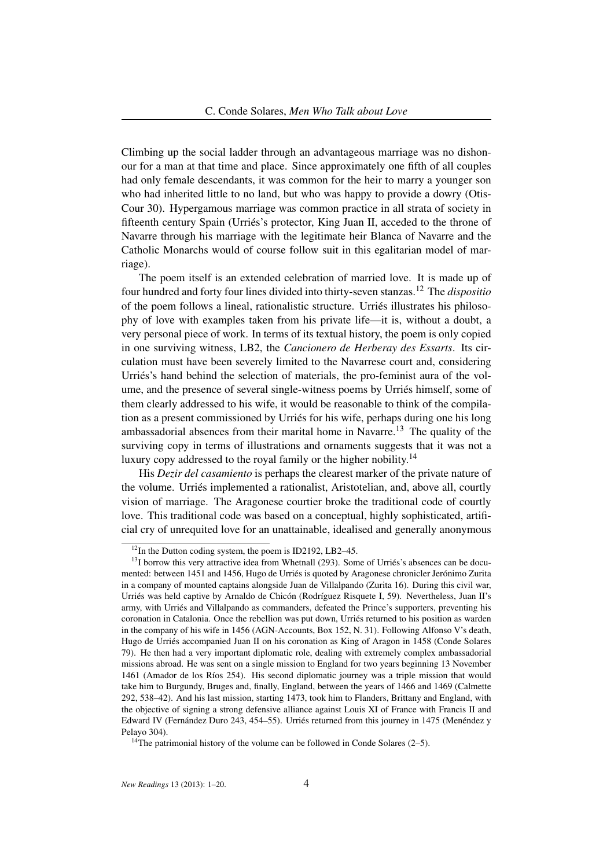Climbing up the social ladder through an advantageous marriage was no dishonour for a man at that time and place. Since approximately one fifth of all couples had only female descendants, it was common for the heir to marry a younger son who had inherited little to no land, but who was happy to provide a dowry (Otis-Cour 30). Hypergamous marriage was common practice in all strata of society in fifteenth century Spain (Urriés's protector, King Juan II, acceded to the throne of Navarre through his marriage with the legitimate heir Blanca of Navarre and the Catholic Monarchs would of course follow suit in this egalitarian model of marriage).

The poem itself is an extended celebration of married love. It is made up of four hundred and forty four lines divided into thirty-seven stanzas.<sup>12</sup> The *dispositio* of the poem follows a lineal, rationalistic structure. Urriés illustrates his philosophy of love with examples taken from his private life—it is, without a doubt, a very personal piece of work. In terms of its textual history, the poem is only copied in one surviving witness, LB2, the *Cancionero de Herberay des Essarts*. Its circulation must have been severely limited to the Navarrese court and, considering Urriés's hand behind the selection of materials, the pro-feminist aura of the volume, and the presence of several single-witness poems by Urriés himself, some of them clearly addressed to his wife, it would be reasonable to think of the compilation as a present commissioned by Urriés for his wife, perhaps during one his long ambassadorial absences from their marital home in Navarre.<sup>13</sup> The quality of the surviving copy in terms of illustrations and ornaments suggests that it was not a luxury copy addressed to the royal family or the higher nobility.<sup>14</sup>

His *Dezir del casamiento* is perhaps the clearest marker of the private nature of the volume. Urriés implemented a rationalist, Aristotelian, and, above all, courtly vision of marriage. The Aragonese courtier broke the traditional code of courtly love. This traditional code was based on a conceptual, highly sophisticated, artificial cry of unrequited love for an unattainable, idealised and generally anonymous

 $12$ In the Dutton coding system, the poem is ID2192, LB2-45.

 $131$  borrow this very attractive idea from Whetnall (293). Some of Urriés's absences can be documented: between 1451 and 1456, Hugo de Urriés is quoted by Aragonese chronicler Jerónimo Zurita in a company of mounted captains alongside Juan de Villalpando (Zurita 16). During this civil war, Urriés was held captive by Arnaldo de Chicón (Rodríguez Risquete I, 59). Nevertheless, Juan II's army, with Urriés and Villalpando as commanders, defeated the Prince's supporters, preventing his coronation in Catalonia. Once the rebellion was put down, Urriés returned to his position as warden in the company of his wife in 1456 (AGN-Accounts, Box 152, N. 31). Following Alfonso V's death, Hugo de Urriés accompanied Juan II on his coronation as King of Aragon in 1458 (Conde Solares 79). He then had a very important diplomatic role, dealing with extremely complex ambassadorial missions abroad. He was sent on a single mission to England for two years beginning 13 November 1461 (Amador de los Ríos 254). His second diplomatic journey was a triple mission that would take him to Burgundy, Bruges and, finally, England, between the years of 1466 and 1469 (Calmette 292, 538–42). And his last mission, starting 1473, took him to Flanders, Brittany and England, with the objective of signing a strong defensive alliance against Louis XI of France with Francis II and Edward IV (Fernández Duro 243, 454–55). Urriés returned from this journey in 1475 (Menéndez y Pelayo 304).

<sup>&</sup>lt;sup>14</sup>The patrimonial history of the volume can be followed in Conde Solares  $(2-5)$ .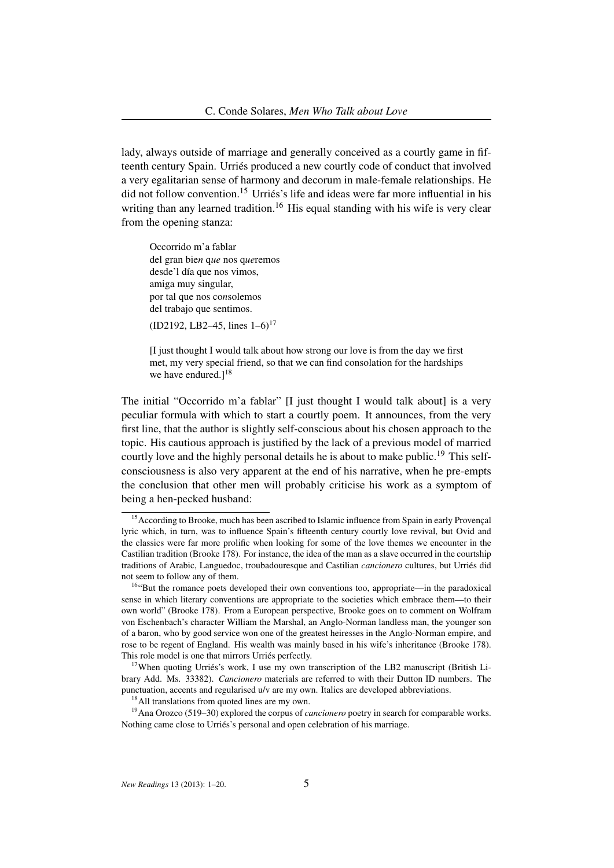lady, always outside of marriage and generally conceived as a courtly game in fifteenth century Spain. Urriés produced a new courtly code of conduct that involved a very egalitarian sense of harmony and decorum in male-female relationships. He did not follow convention.<sup>15</sup> Urriés's life and ideas were far more influential in his writing than any learned tradition.<sup>16</sup> His equal standing with his wife is very clear from the opening stanza:

Occorrido m'a fablar del gran bie*n* q*ue* nos q*ue*remos desde'l día que nos vimos, amiga muy singular, por tal que nos co*n*solemos del trabajo que sentimos.

 $(ID2192, LB2–45, lines 1–6)<sup>17</sup>$ 

[I just thought I would talk about how strong our love is from the day we first met, my very special friend, so that we can find consolation for the hardships we have endured. $]^{18}$ 

The initial "Occorrido m'a fablar" [I just thought I would talk about] is a very peculiar formula with which to start a courtly poem. It announces, from the very first line, that the author is slightly self-conscious about his chosen approach to the topic. His cautious approach is justified by the lack of a previous model of married courtly love and the highly personal details he is about to make public.<sup>19</sup> This selfconsciousness is also very apparent at the end of his narrative, when he pre-empts the conclusion that other men will probably criticise his work as a symptom of being a hen-pecked husband:

<sup>&</sup>lt;sup>15</sup> According to Brooke, much has been ascribed to Islamic influence from Spain in early Provençal lyric which, in turn, was to influence Spain's fifteenth century courtly love revival, but Ovid and the classics were far more prolific when looking for some of the love themes we encounter in the Castilian tradition (Brooke 178). For instance, the idea of the man as a slave occurred in the courtship traditions of Arabic, Languedoc, troubadouresque and Castilian *cancionero* cultures, but Urriés did not seem to follow any of them.

<sup>&</sup>lt;sup>16"</sup>But the romance poets developed their own conventions too, appropriate—in the paradoxical sense in which literary conventions are appropriate to the societies which embrace them—to their own world" (Brooke 178). From a European perspective, Brooke goes on to comment on Wolfram von Eschenbach's character William the Marshal, an Anglo-Norman landless man, the younger son of a baron, who by good service won one of the greatest heiresses in the Anglo-Norman empire, and rose to be regent of England. His wealth was mainly based in his wife's inheritance (Brooke 178). This role model is one that mirrors Urriés perfectly.

<sup>&</sup>lt;sup>17</sup>When quoting Urriés's work, I use my own transcription of the LB2 manuscript (British Library Add. Ms. 33382). *Cancionero* materials are referred to with their Dutton ID numbers. The punctuation, accents and regularised u/v are my own. Italics are developed abbreviations.

 $18$ All translations from quoted lines are my own.

<sup>19</sup>Ana Orozco (519–30) explored the corpus of *cancionero* poetry in search for comparable works. Nothing came close to Urriés's personal and open celebration of his marriage.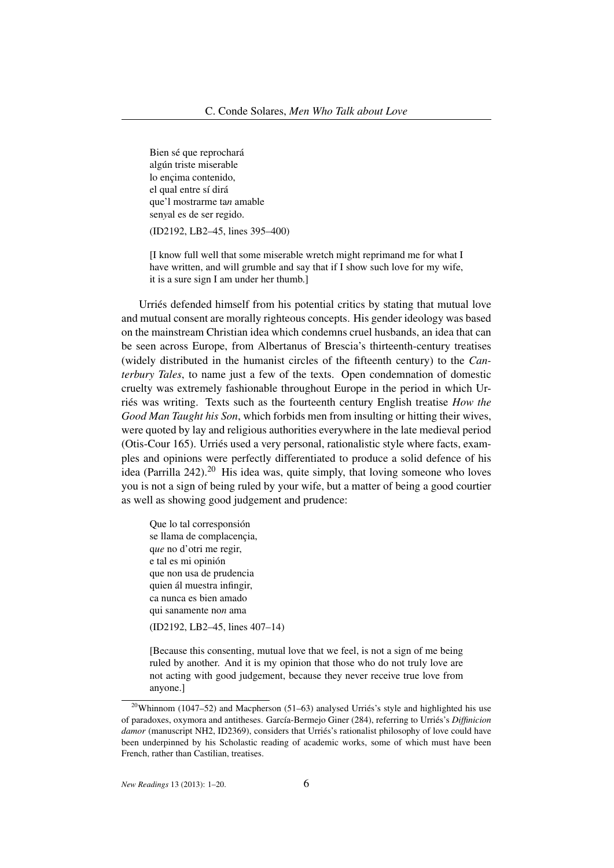Bien sé que reprochará algún triste miserable lo ençima contenido, el qual entre sí dirá que'l mostrarme ta*n* amable sen*y*al es de ser regido. (ID2192, LB2–45, lines 395–400)

[I know full well that some miserable wretch might reprimand me for what I have written, and will grumble and say that if I show such love for my wife, it is a sure sign I am under her thumb.]

Urriés defended himself from his potential critics by stating that mutual love and mutual consent are morally righteous concepts. His gender ideology was based on the mainstream Christian idea which condemns cruel husbands, an idea that can be seen across Europe, from Albertanus of Brescia's thirteenth-century treatises (widely distributed in the humanist circles of the fifteenth century) to the *Canterbury Tales*, to name just a few of the texts. Open condemnation of domestic cruelty was extremely fashionable throughout Europe in the period in which Urriés was writing. Texts such as the fourteenth century English treatise *How the Good Man Taught his Son*, which forbids men from insulting or hitting their wives, were quoted by lay and religious authorities everywhere in the late medieval period (Otis-Cour 165). Urriés used a very personal, rationalistic style where facts, examples and opinions were perfectly differentiated to produce a solid defence of his idea (Parrilla 242).<sup>20</sup> His idea was, quite simply, that loving someone who loves you is not a sign of being ruled by your wife, but a matter of being a good courtier as well as showing good judgement and prudence:

Que lo tal corresponsión se llama de complacençia, q*ue* no d'otri me regir, e tal es mi opinión que non usa de prudencia quien ál muestra infingir, ca nunca es bien amado qui sanamente no*n* ama

(ID2192, LB2–45, lines 407–14)

[Because this consenting, mutual love that we feel, is not a sign of me being ruled by another. And it is my opinion that those who do not truly love are not acting with good judgement, because they never receive true love from anyone.]

<sup>&</sup>lt;sup>20</sup>Whinnom (1047–52) and Macpherson (51–63) analysed Urriés's style and highlighted his use of paradoxes, oxymora and antitheses. García-Bermejo Giner (284), referring to Urriés's *Diffinicion damor* (manuscript NH2, ID2369), considers that Urriés's rationalist philosophy of love could have been underpinned by his Scholastic reading of academic works, some of which must have been French, rather than Castilian, treatises.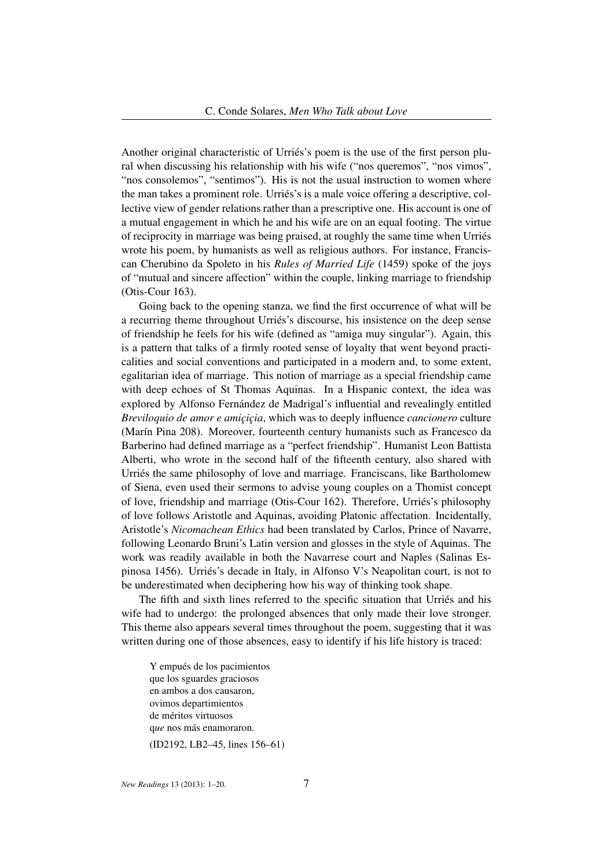Another original characteristic of Urriés's poem is the use of the first person plural when discussing his relationship with his wife ("nos queremos", "nos vimos", "nos consolemos", "sentimos"). His is not the usual instruction to women where the man takes a prominent role. Urriés's is a male voice offering a descriptive, collective view of gender relations rather than a prescriptive one. His account is one of a mutual engagement in which he and his wife are on an equal footing. The virtue of reciprocity in marriage was being praised, at roughly the same time when Urriés wrote his poem, by humanists as well as religious authors. For instance, Franciscan Cherubino da Spoleto in his *Rules of Married Life* (1459) spoke of the joys of "mutual and sincere affection" within the couple, linking marriage to friendship (Otis-Cour 163).

Going back to the opening stanza, we find the first occurrence of what will be a recurring theme throughout Urriés's discourse, his insistence on the deep sense of friendship he feels for his wife (defined as "amiga muy singular"). Again, this is a pattern that talks of a firmly rooted sense of loyalty that went beyond practicalities and social conventions and participated in a modern and, to some extent, egalitarian idea of marriage. This notion of marriage as a special friendship came with deep echoes of St Thomas Aquinas. In a Hispanic context, the idea was explored by Alfonso Fernández de Madrigal's influential and revealingly entitled *Breviloquio de amor e amiçiçia*, which was to deeply influence *cancionero* culture (Marín Pina 208). Moreover, fourteenth century humanists such as Francesco da Barberino had defined marriage as a "perfect friendship". Humanist Leon Battista Alberti, who wrote in the second half of the fifteenth century, also shared with Urriés the same philosophy of love and marriage. Franciscans, like Bartholomew of Siena, even used their sermons to advise young couples on a Thomist concept of love, friendship and marriage (Otis-Cour 162). Therefore, Urriés's philosophy of love follows Aristotle and Aquinas, avoiding Platonic affectation. Incidentally, Aristotle's *Nicomachean Ethics* had been translated by Carlos, Prince of Navarre, following Leonardo Bruni's Latin version and glosses in the style of Aquinas. The work was readily available in both the Navarrese court and Naples (Salinas Espinosa 1456). Urriés's decade in Italy, in Alfonso V's Neapolitan court, is not to be underestimated when deciphering how his way of thinking took shape.

The fifth and sixth lines referred to the specific situation that Urriés and his wife had to undergo: the prolonged absences that only made their love stronger. This theme also appears several times throughout the poem, suggesting that it was written during one of those absences, easy to identify if his life history is traced:

Y empués de los pacimientos que los sguardes graciosos en ambos a dos causaron, ovimos departimientos de méritos virtuosos q*ue* nos más enamoraron. (ID2192, LB2–45, lines 156–61)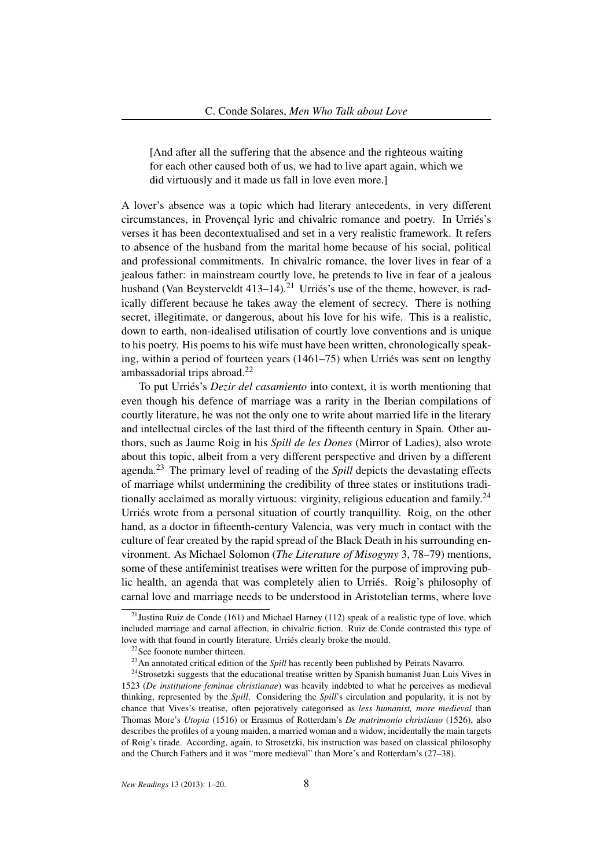[And after all the suffering that the absence and the righteous waiting for each other caused both of us, we had to live apart again, which we did virtuously and it made us fall in love even more.]

A lover's absence was a topic which had literary antecedents, in very different circumstances, in Provençal lyric and chivalric romance and poetry. In Urriés's verses it has been decontextualised and set in a very realistic framework. It refers to absence of the husband from the marital home because of his social, political and professional commitments. In chivalric romance, the lover lives in fear of a jealous father: in mainstream courtly love, he pretends to live in fear of a jealous husband (Van Beysterveldt 413–14).<sup>21</sup> Urriés's use of the theme, however, is radically different because he takes away the element of secrecy. There is nothing secret, illegitimate, or dangerous, about his love for his wife. This is a realistic, down to earth, non-idealised utilisation of courtly love conventions and is unique to his poetry. His poems to his wife must have been written, chronologically speaking, within a period of fourteen years (1461–75) when Urriés was sent on lengthy ambassadorial trips abroad.<sup>22</sup>

To put Urriés's *Dezir del casamiento* into context, it is worth mentioning that even though his defence of marriage was a rarity in the Iberian compilations of courtly literature, he was not the only one to write about married life in the literary and intellectual circles of the last third of the fifteenth century in Spain. Other authors, such as Jaume Roig in his *Spill de les Dones* (Mirror of Ladies), also wrote about this topic, albeit from a very different perspective and driven by a different agenda.<sup>23</sup> The primary level of reading of the *Spill* depicts the devastating effects of marriage whilst undermining the credibility of three states or institutions traditionally acclaimed as morally virtuous: virginity, religious education and family.<sup>24</sup> Urriés wrote from a personal situation of courtly tranquillity. Roig, on the other hand, as a doctor in fifteenth-century Valencia, was very much in contact with the culture of fear created by the rapid spread of the Black Death in his surrounding environment. As Michael Solomon (*The Literature of Misogyny* 3, 78–79) mentions, some of these antifeminist treatises were written for the purpose of improving public health, an agenda that was completely alien to Urriés. Roig's philosophy of carnal love and marriage needs to be understood in Aristotelian terms, where love

<sup>&</sup>lt;sup>21</sup> Justina Ruiz de Conde (161) and Michael Harney (112) speak of a realistic type of love, which included marriage and carnal affection, in chivalric fiction. Ruiz de Conde contrasted this type of love with that found in courtly literature. Urriés clearly broke the mould.

 $22$ See foonote number thirteen.

<sup>&</sup>lt;sup>23</sup>An annotated critical edition of the *Spill* has recently been published by Peirats Navarro.

<sup>&</sup>lt;sup>24</sup>Strosetzki suggests that the educational treatise written by Spanish humanist Juan Luis Vives in 1523 (*De institutione feminae christianae*) was heavily indebted to what he perceives as medieval thinking, represented by the *Spill*. Considering the *Spill*'s circulation and popularity, it is not by chance that Vives's treatise, often pejoratively categorised as *less humanist, more medieval* than Thomas More's *Utopia* (1516) or Erasmus of Rotterdam's *De matrimonio christiano* (1526), also describes the profiles of a young maiden, a married woman and a widow, incidentally the main targets of Roig's tirade. According, again, to Strosetzki, his instruction was based on classical philosophy and the Church Fathers and it was "more medieval" than More's and Rotterdam's (27–38).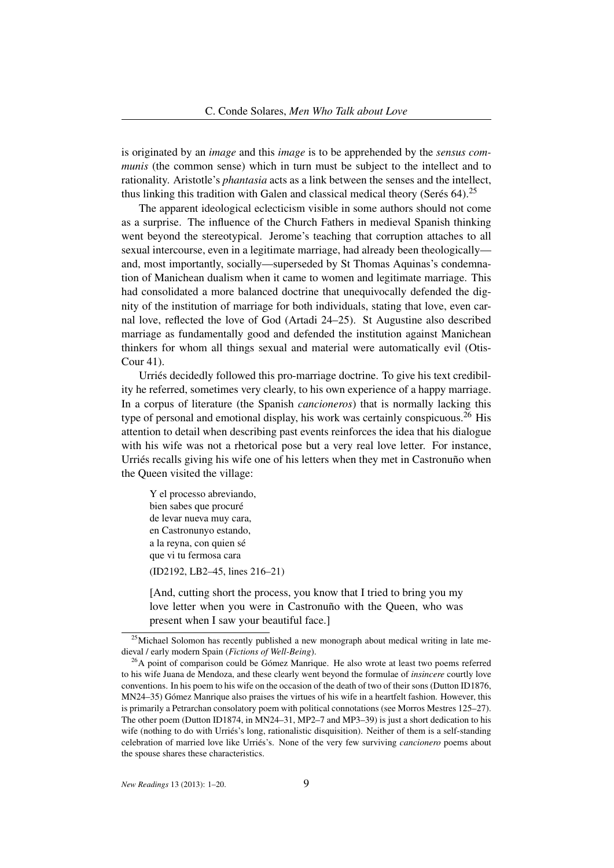is originated by an *image* and this *image* is to be apprehended by the *sensus communis* (the common sense) which in turn must be subject to the intellect and to rationality. Aristotle's *phantasia* acts as a link between the senses and the intellect, thus linking this tradition with Galen and classical medical theory (Serés  $64$ ).<sup>25</sup>

The apparent ideological eclecticism visible in some authors should not come as a surprise. The influence of the Church Fathers in medieval Spanish thinking went beyond the stereotypical. Jerome's teaching that corruption attaches to all sexual intercourse, even in a legitimate marriage, had already been theologically and, most importantly, socially—superseded by St Thomas Aquinas's condemnation of Manichean dualism when it came to women and legitimate marriage. This had consolidated a more balanced doctrine that unequivocally defended the dignity of the institution of marriage for both individuals, stating that love, even carnal love, reflected the love of God (Artadi 24–25). St Augustine also described marriage as fundamentally good and defended the institution against Manichean thinkers for whom all things sexual and material were automatically evil (Otis-Cour 41).

Urriés decidedly followed this pro-marriage doctrine. To give his text credibility he referred, sometimes very clearly, to his own experience of a happy marriage. In a corpus of literature (the Spanish *cancioneros*) that is normally lacking this type of personal and emotional display, his work was certainly conspicuous.<sup>26</sup> His attention to detail when describing past events reinforces the idea that his dialogue with his wife was not a rhetorical pose but a very real love letter. For instance, Urriés recalls giving his wife one of his letters when they met in Castronuño when the Queen visited the village:

Y el processo abreviando, bien sabes que procuré de levar nueva muy cara, en Castronunyo estando, a la reyna, con quien sé que vi tu fermosa cara (ID2192, LB2–45, lines 216–21)

[And, cutting short the process, you know that I tried to bring you my love letter when you were in Castronuño with the Queen, who was present when I saw your beautiful face.]

 $25$ Michael Solomon has recently published a new monograph about medical writing in late medieval / early modern Spain (*Fictions of Well-Being*).

<sup>&</sup>lt;sup>26</sup>A point of comparison could be Gómez Manrique. He also wrote at least two poems referred to his wife Juana de Mendoza, and these clearly went beyond the formulae of *insincere* courtly love conventions. In his poem to his wife on the occasion of the death of two of their sons (Dutton ID1876, MN24–35) Gómez Manrique also praises the virtues of his wife in a heartfelt fashion. However, this is primarily a Petrarchan consolatory poem with political connotations (see Morros Mestres 125–27). The other poem (Dutton ID1874, in MN24–31, MP2–7 and MP3–39) is just a short dedication to his wife (nothing to do with Urriés's long, rationalistic disquisition). Neither of them is a self-standing celebration of married love like Urriés's. None of the very few surviving *cancionero* poems about the spouse shares these characteristics.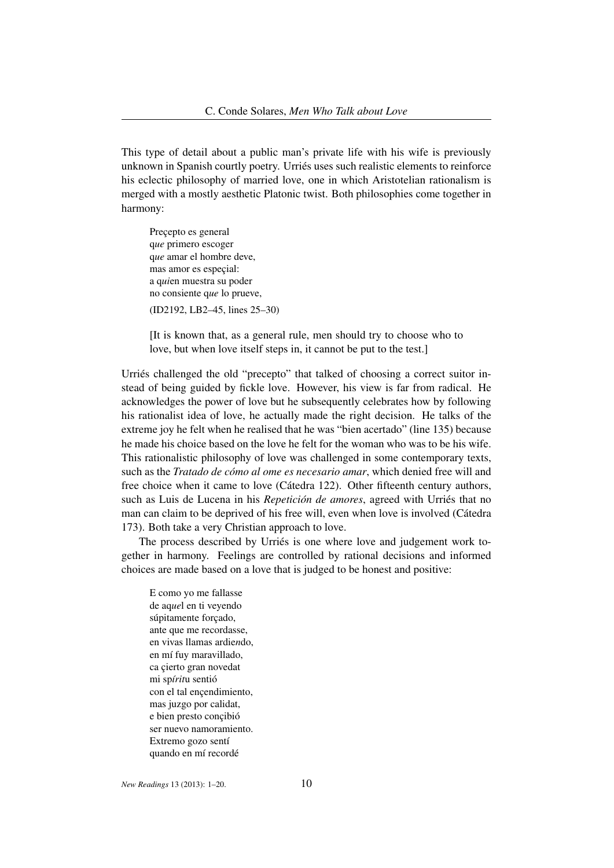This type of detail about a public man's private life with his wife is previously unknown in Spanish courtly poetry. Urriés uses such realistic elements to reinforce his eclectic philosophy of married love, one in which Aristotelian rationalism is merged with a mostly aesthetic Platonic twist. Both philosophies come together in harmony:

Preçepto es general q*ue* primero escoger q*ue* amar el hombre deve, mas amor es espeçial: a q*ui*en muestra su poder no consiente q*ue* lo prueve, (ID2192, LB2–45, lines 25–30)

[It is known that, as a general rule, men should try to choose who to love, but when love itself steps in, it cannot be put to the test.]

Urriés challenged the old "precepto" that talked of choosing a correct suitor instead of being guided by fickle love. However, his view is far from radical. He acknowledges the power of love but he subsequently celebrates how by following his rationalist idea of love, he actually made the right decision. He talks of the extreme joy he felt when he realised that he was "bien acertado" (line 135) because he made his choice based on the love he felt for the woman who was to be his wife. This rationalistic philosophy of love was challenged in some contemporary texts, such as the *Tratado de cómo al ome es necesario amar*, which denied free will and free choice when it came to love (Cátedra 122). Other fifteenth century authors, such as Luis de Lucena in his *Repetición de amores*, agreed with Urriés that no man can claim to be deprived of his free will, even when love is involved (Cátedra 173). Both take a very Christian approach to love.

The process described by Urriés is one where love and judgement work together in harmony. Feelings are controlled by rational decisions and informed choices are made based on a love that is judged to be honest and positive:

E como yo me fallasse de aq*ue*l en ti veyendo súpitamente forçado, ante que me recordasse, en vivas llamas ardie*n*do, en mí fuy maravillado, ca çierto gran novedat mi sp*írit*u sentió con el tal ençendimiento, mas juzgo por calidat, e bien presto conçibió ser nuevo namoramiento. Extremo gozo sentí quando en mí recordé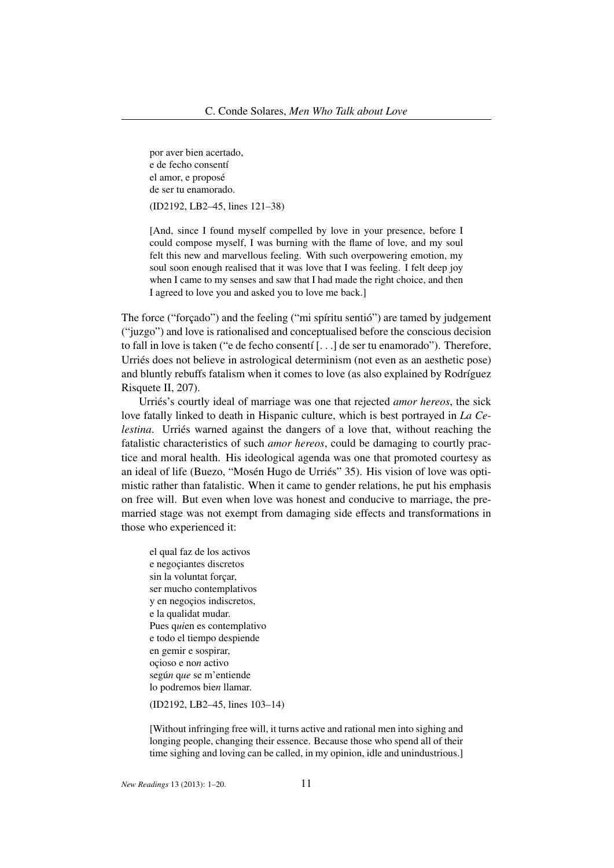por aver bien acertado, e de fecho consentí el amor, e proposé de ser tu enamorado.

(ID2192, LB2–45, lines 121–38)

[And, since I found myself compelled by love in your presence, before I could compose myself, I was burning with the flame of love, and my soul felt this new and marvellous feeling. With such overpowering emotion, my soul soon enough realised that it was love that I was feeling. I felt deep joy when I came to my senses and saw that I had made the right choice, and then I agreed to love you and asked you to love me back.]

The force ("forçado") and the feeling ("mi spíritu sentió") are tamed by judgement ("juzgo") and love is rationalised and conceptualised before the conscious decision to fall in love is taken ("e de fecho consentí [. . .] de ser tu enamorado"). Therefore, Urriés does not believe in astrological determinism (not even as an aesthetic pose) and bluntly rebuffs fatalism when it comes to love (as also explained by Rodríguez Risquete II, 207).

Urriés's courtly ideal of marriage was one that rejected *amor hereos*, the sick love fatally linked to death in Hispanic culture, which is best portrayed in *La Celestina*. Urriés warned against the dangers of a love that, without reaching the fatalistic characteristics of such *amor hereos*, could be damaging to courtly practice and moral health. His ideological agenda was one that promoted courtesy as an ideal of life (Buezo, "Mosén Hugo de Urriés" 35). His vision of love was optimistic rather than fatalistic. When it came to gender relations, he put his emphasis on free will. But even when love was honest and conducive to marriage, the premarried stage was not exempt from damaging side effects and transformations in those who experienced it:

el qual faz de los activos e negoçiantes discretos sin la voluntat forçar, ser mucho contemplativos y en negoçios indiscretos, e la qualidat mudar. Pues q*ui*en es contemplativo e todo el tiempo despiende en gemir e sospirar, oçioso e no*n* activo segú*n* q*ue* se m'entiende lo podremos bie*n* llamar.

(ID2192, LB2–45, lines 103–14)

[Without infringing free will, it turns active and rational men into sighing and longing people, changing their essence. Because those who spend all of their time sighing and loving can be called, in my opinion, idle and unindustrious.]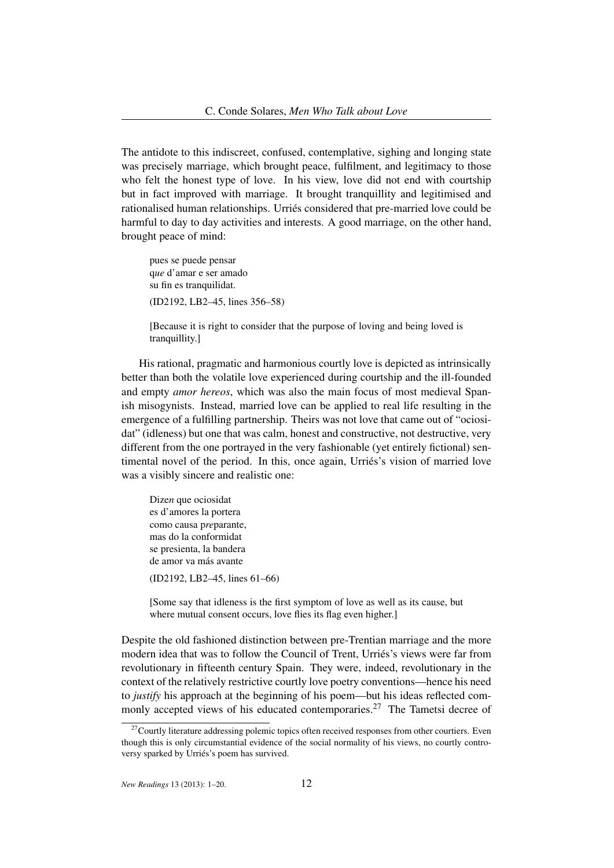The antidote to this indiscreet, confused, contemplative, sighing and longing state was precisely marriage, which brought peace, fulfilment, and legitimacy to those who felt the honest type of love. In his view, love did not end with courtship but in fact improved with marriage. It brought tranquillity and legitimised and rationalised human relationships. Urriés considered that pre-married love could be harmful to day to day activities and interests. A good marriage, on the other hand, brought peace of mind:

pues se puede pensar q*ue* d'amar e ser amado su fin es tranquilidat. (ID2192, LB2–45, lines 356–58)

[Because it is right to consider that the purpose of loving and being loved is tranquillity.]

His rational, pragmatic and harmonious courtly love is depicted as intrinsically better than both the volatile love experienced during courtship and the ill-founded and empty *amor hereos*, which was also the main focus of most medieval Spanish misogynists. Instead, married love can be applied to real life resulting in the emergence of a fulfilling partnership. Theirs was not love that came out of "ociosidat" (idleness) but one that was calm, honest and constructive, not destructive, very different from the one portrayed in the very fashionable (yet entirely fictional) sentimental novel of the period. In this, once again, Urriés's vision of married love was a visibly sincere and realistic one:

Dize*n* que ociosidat es d'amores la portera como causa p*re*parante, mas do la conformidat se presienta, la bandera de amor va más avante (ID2192, LB2–45, lines 61–66)

[Some say that idleness is the first symptom of love as well as its cause, but where mutual consent occurs, love flies its flag even higher.]

Despite the old fashioned distinction between pre-Trentian marriage and the more modern idea that was to follow the Council of Trent, Urriés's views were far from revolutionary in fifteenth century Spain. They were, indeed, revolutionary in the context of the relatively restrictive courtly love poetry conventions—hence his need to *justify* his approach at the beginning of his poem—but his ideas reflected commonly accepted views of his educated contemporaries.<sup>27</sup> The Tametsi decree of

 $27$ Courtly literature addressing polemic topics often received responses from other courtiers. Even though this is only circumstantial evidence of the social normality of his views, no courtly controversy sparked by Urriés's poem has survived.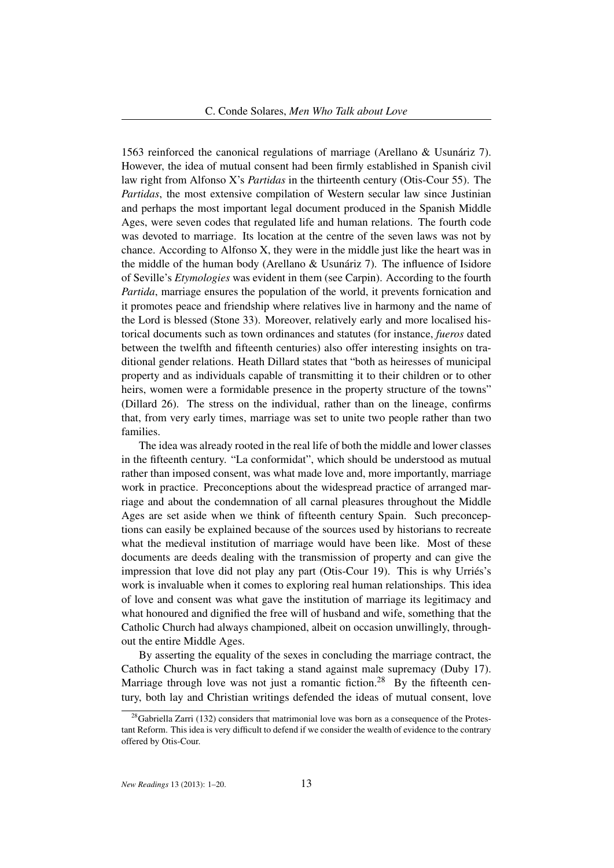1563 reinforced the canonical regulations of marriage (Arellano & Usunáriz 7). However, the idea of mutual consent had been firmly established in Spanish civil law right from Alfonso X's *Partidas* in the thirteenth century (Otis-Cour 55). The *Partidas*, the most extensive compilation of Western secular law since Justinian and perhaps the most important legal document produced in the Spanish Middle Ages, were seven codes that regulated life and human relations. The fourth code was devoted to marriage. Its location at the centre of the seven laws was not by chance. According to Alfonso X, they were in the middle just like the heart was in the middle of the human body (Arellano & Usunáriz 7). The influence of Isidore of Seville's *Etymologies* was evident in them (see Carpin). According to the fourth *Partida*, marriage ensures the population of the world, it prevents fornication and it promotes peace and friendship where relatives live in harmony and the name of the Lord is blessed (Stone 33). Moreover, relatively early and more localised historical documents such as town ordinances and statutes (for instance, *fueros* dated between the twelfth and fifteenth centuries) also offer interesting insights on traditional gender relations. Heath Dillard states that "both as heiresses of municipal property and as individuals capable of transmitting it to their children or to other heirs, women were a formidable presence in the property structure of the towns" (Dillard 26). The stress on the individual, rather than on the lineage, confirms that, from very early times, marriage was set to unite two people rather than two families.

The idea was already rooted in the real life of both the middle and lower classes in the fifteenth century. "La conformidat", which should be understood as mutual rather than imposed consent, was what made love and, more importantly, marriage work in practice. Preconceptions about the widespread practice of arranged marriage and about the condemnation of all carnal pleasures throughout the Middle Ages are set aside when we think of fifteenth century Spain. Such preconceptions can easily be explained because of the sources used by historians to recreate what the medieval institution of marriage would have been like. Most of these documents are deeds dealing with the transmission of property and can give the impression that love did not play any part (Otis-Cour 19). This is why Urriés's work is invaluable when it comes to exploring real human relationships. This idea of love and consent was what gave the institution of marriage its legitimacy and what honoured and dignified the free will of husband and wife, something that the Catholic Church had always championed, albeit on occasion unwillingly, throughout the entire Middle Ages.

By asserting the equality of the sexes in concluding the marriage contract, the Catholic Church was in fact taking a stand against male supremacy (Duby 17). Marriage through love was not just a romantic fiction.<sup>28</sup> By the fifteenth century, both lay and Christian writings defended the ideas of mutual consent, love

 $^{28}$ Gabriella Zarri (132) considers that matrimonial love was born as a consequence of the Protestant Reform. This idea is very difficult to defend if we consider the wealth of evidence to the contrary offered by Otis-Cour.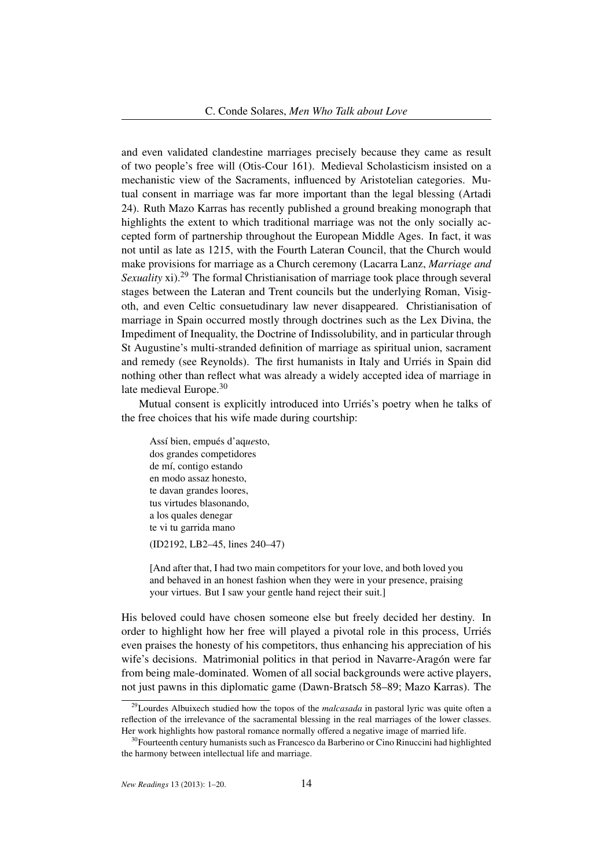and even validated clandestine marriages precisely because they came as result of two people's free will (Otis-Cour 161). Medieval Scholasticism insisted on a mechanistic view of the Sacraments, influenced by Aristotelian categories. Mutual consent in marriage was far more important than the legal blessing (Artadi 24). Ruth Mazo Karras has recently published a ground breaking monograph that highlights the extent to which traditional marriage was not the only socially accepted form of partnership throughout the European Middle Ages. In fact, it was not until as late as 1215, with the Fourth Lateran Council, that the Church would make provisions for marriage as a Church ceremony (Lacarra Lanz, *Marriage and Sexuality* xi).<sup>29</sup> The formal Christianisation of marriage took place through several stages between the Lateran and Trent councils but the underlying Roman, Visigoth, and even Celtic consuetudinary law never disappeared. Christianisation of marriage in Spain occurred mostly through doctrines such as the Lex Divina, the Impediment of Inequality, the Doctrine of Indissolubility, and in particular through St Augustine's multi-stranded definition of marriage as spiritual union, sacrament and remedy (see Reynolds). The first humanists in Italy and Urriés in Spain did nothing other than reflect what was already a widely accepted idea of marriage in late medieval Europe.<sup>30</sup>

Mutual consent is explicitly introduced into Urriés's poetry when he talks of the free choices that his wife made during courtship:

Assí bien, empués d'aq*ue*sto, dos grandes competidores de mí, contigo estando en modo assaz honesto, te davan grandes loores, tus virtudes blasonando, a los quales denegar te vi tu garrida mano

```
(ID2192, LB2–45, lines 240–47)
```
[And after that, I had two main competitors for your love, and both loved you and behaved in an honest fashion when they were in your presence, praising your virtues. But I saw your gentle hand reject their suit.]

His beloved could have chosen someone else but freely decided her destiny. In order to highlight how her free will played a pivotal role in this process, Urriés even praises the honesty of his competitors, thus enhancing his appreciation of his wife's decisions. Matrimonial politics in that period in Navarre-Aragón were far from being male-dominated. Women of all social backgrounds were active players, not just pawns in this diplomatic game (Dawn-Bratsch 58–89; Mazo Karras). The

<sup>29</sup>Lourdes Albuixech studied how the topos of the *malcasada* in pastoral lyric was quite often a reflection of the irrelevance of the sacramental blessing in the real marriages of the lower classes. Her work highlights how pastoral romance normally offered a negative image of married life.

 $30$ Fourteenth century humanists such as Francesco da Barberino or Cino Rinuccini had highlighted the harmony between intellectual life and marriage.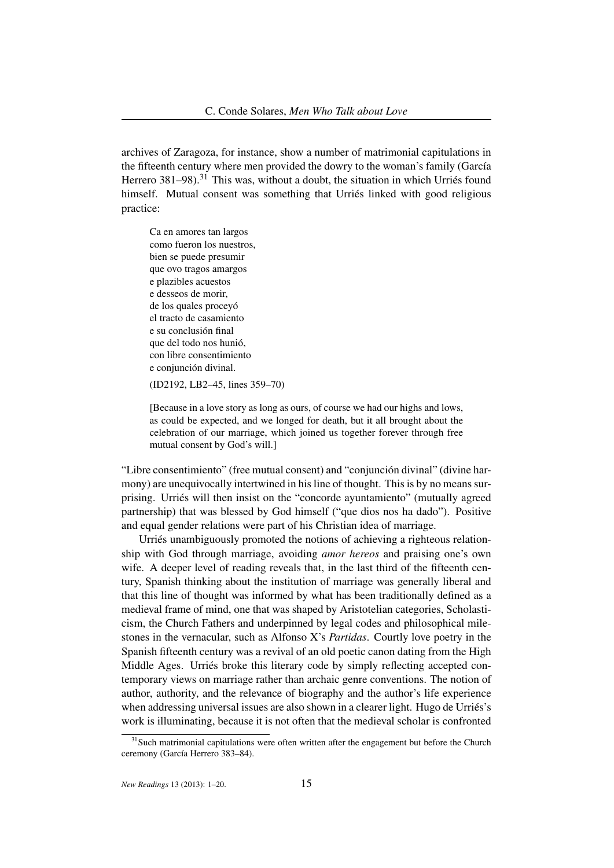archives of Zaragoza, for instance, show a number of matrimonial capitulations in the fifteenth century where men provided the dowry to the woman's family (García Herrero  $381-98$ ).<sup>31</sup> This was, without a doubt, the situation in which Urriés found himself. Mutual consent was something that Urriés linked with good religious practice:

Ca en amores tan largos como fueron los nuestros, bien se puede presumir que ovo tragos amargos e plazibles acuestos e desseos de morir, de los quales proceyó el tracto de casamiento e su conclusión final que del todo nos hunió, con libre consentimiento e conjunción divinal.

(ID2192, LB2–45, lines 359–70)

[Because in a love story as long as ours, of course we had our highs and lows, as could be expected, and we longed for death, but it all brought about the celebration of our marriage, which joined us together forever through free mutual consent by God's will.]

"Libre consentimiento" (free mutual consent) and "conjunción divinal" (divine harmony) are unequivocally intertwined in his line of thought. This is by no means surprising. Urriés will then insist on the "concorde ayuntamiento" (mutually agreed partnership) that was blessed by God himself ("que dios nos ha dado"). Positive and equal gender relations were part of his Christian idea of marriage.

Urriés unambiguously promoted the notions of achieving a righteous relationship with God through marriage, avoiding *amor hereos* and praising one's own wife. A deeper level of reading reveals that, in the last third of the fifteenth century, Spanish thinking about the institution of marriage was generally liberal and that this line of thought was informed by what has been traditionally defined as a medieval frame of mind, one that was shaped by Aristotelian categories, Scholasticism, the Church Fathers and underpinned by legal codes and philosophical milestones in the vernacular, such as Alfonso X's *Partidas*. Courtly love poetry in the Spanish fifteenth century was a revival of an old poetic canon dating from the High Middle Ages. Urriés broke this literary code by simply reflecting accepted contemporary views on marriage rather than archaic genre conventions. The notion of author, authority, and the relevance of biography and the author's life experience when addressing universal issues are also shown in a clearer light. Hugo de Urriés's work is illuminating, because it is not often that the medieval scholar is confronted

 $31$ Such matrimonial capitulations were often written after the engagement but before the Church ceremony (García Herrero 383–84).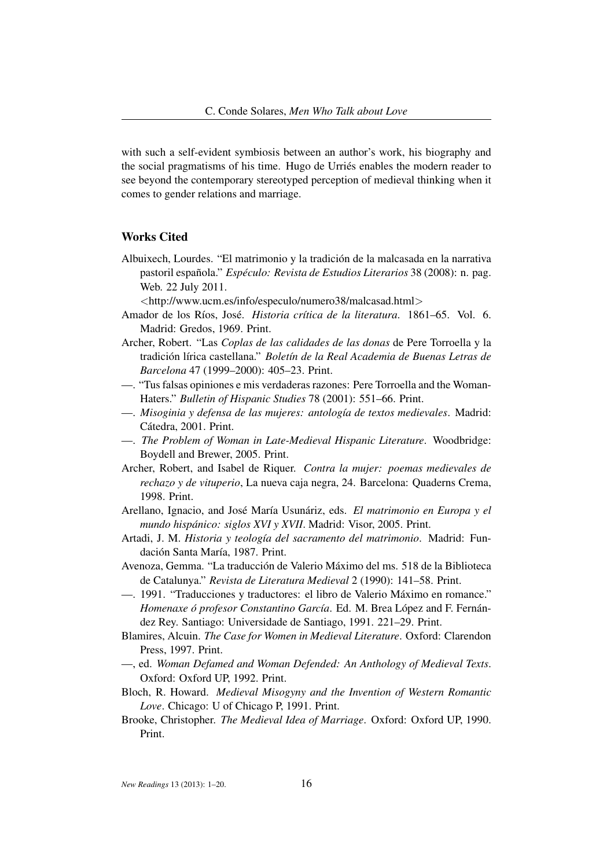with such a self-evident symbiosis between an author's work, his biography and the social pragmatisms of his time. Hugo de Urriés enables the modern reader to see beyond the contemporary stereotyped perception of medieval thinking when it comes to gender relations and marriage.

## Works Cited

Albuixech, Lourdes. "El matrimonio y la tradición de la malcasada en la narrativa pastoril española." *Espéculo: Revista de Estudios Literarios* 38 (2008): n. pag. Web. 22 July 2011.

<http://www.ucm.es/info/especulo/numero38/malcasad.html>

- Amador de los Ríos, José. *Historia crítica de la literatura*. 1861–65. Vol. 6. Madrid: Gredos, 1969. Print.
- Archer, Robert. "Las *Coplas de las calidades de las donas* de Pere Torroella y la tradición lírica castellana." *Boletín de la Real Academia de Buenas Letras de Barcelona* 47 (1999–2000): 405–23. Print.
- —. "Tus falsas opiniones e mis verdaderas razones: Pere Torroella and the Woman-Haters." *Bulletin of Hispanic Studies* 78 (2001): 551–66. Print.
- —. *Misoginia y defensa de las mujeres: antología de textos medievales*. Madrid: Cátedra, 2001. Print.
- —. *The Problem of Woman in Late-Medieval Hispanic Literature*. Woodbridge: Boydell and Brewer, 2005. Print.
- Archer, Robert, and Isabel de Riquer. *Contra la mujer: poemas medievales de rechazo y de vituperio*, La nueva caja negra, 24. Barcelona: Quaderns Crema, 1998. Print.
- Arellano, Ignacio, and José María Usunáriz, eds. *El matrimonio en Europa y el mundo hispánico: siglos XVI y XVII*. Madrid: Visor, 2005. Print.
- Artadi, J. M. *Historia y teología del sacramento del matrimonio*. Madrid: Fundación Santa María, 1987. Print.
- Avenoza, Gemma. "La traducción de Valerio Máximo del ms. 518 de la Biblioteca de Catalunya." *Revista de Literatura Medieval* 2 (1990): 141–58. Print.
- —. 1991. "Traducciones y traductores: el libro de Valerio Máximo en romance." *Homenaxe ó profesor Constantino García*. Ed. M. Brea López and F. Fernández Rey. Santiago: Universidade de Santiago, 1991. 221–29. Print.
- Blamires, Alcuin. *The Case for Women in Medieval Literature*. Oxford: Clarendon Press, 1997. Print.
- —, ed. *Woman Defamed and Woman Defended: An Anthology of Medieval Texts*. Oxford: Oxford UP, 1992. Print.
- Bloch, R. Howard. *Medieval Misogyny and the Invention of Western Romantic Love*. Chicago: U of Chicago P, 1991. Print.
- Brooke, Christopher. *The Medieval Idea of Marriage*. Oxford: Oxford UP, 1990. Print.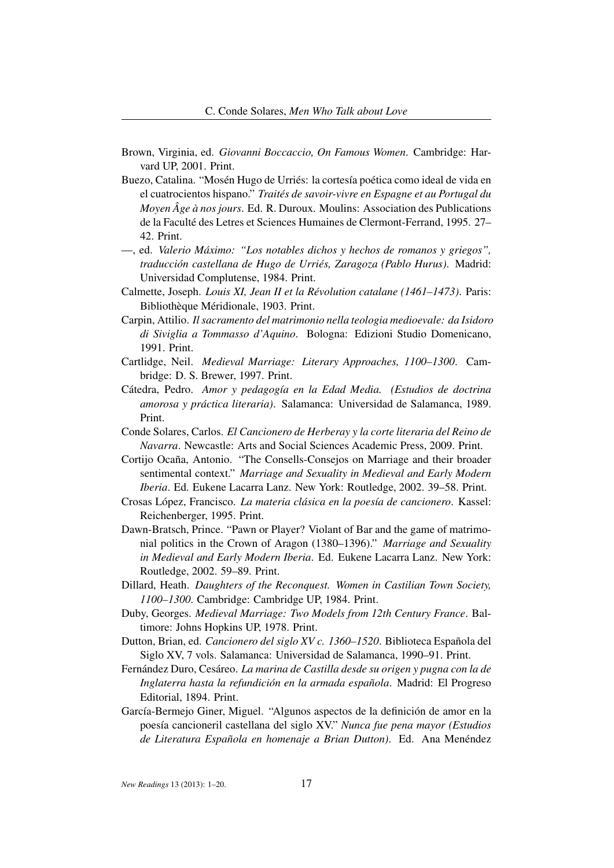- Brown, Virginia, ed. *Giovanni Boccaccio, On Famous Women*. Cambridge: Harvard UP, 2001. Print.
- Buezo, Catalina. "Mosén Hugo de Urriés: la cortesía poética como ideal de vida en el cuatrocientos hispano." *Traités de savoir-vivre en Espagne et au Portugal du Moyen Âge à nos jours*. Ed. R. Duroux. Moulins: Association des Publications de la Faculté des Letres et Sciences Humaines de Clermont-Ferrand, 1995. 27– 42. Print.
- —, ed. *Valerio Máximo: "Los notables dichos y hechos de romanos y griegos", traducción castellana de Hugo de Urriés, Zaragoza (Pablo Hurus)*. Madrid: Universidad Complutense, 1984. Print.
- Calmette, Joseph. *Louis XI, Jean II et la Révolution catalane (1461–1473)*. Paris: Bibliothèque Méridionale, 1903. Print.
- Carpin, Attilio. *Il sacramento del matrimonio nella teologia medioevale: da Isidoro di Siviglia a Tommasso d'Aquino*. Bologna: Edizioni Studio Domenicano, 1991. Print.
- Cartlidge, Neil. *Medieval Marriage: Literary Approaches, 1100–1300*. Cambridge: D. S. Brewer, 1997. Print.
- Cátedra, Pedro. *Amor y pedagogía en la Edad Media. (Estudios de doctrina amorosa y práctica literaria)*. Salamanca: Universidad de Salamanca, 1989. Print.
- Conde Solares, Carlos. *El Cancionero de Herberay y la corte literaria del Reino de Navarra*. Newcastle: Arts and Social Sciences Academic Press, 2009. Print.
- Cortijo Ocaña, Antonio. "The Consells-Consejos on Marriage and their broader sentimental context." *Marriage and Sexuality in Medieval and Early Modern Iberia*. Ed. Eukene Lacarra Lanz. New York: Routledge, 2002. 39–58. Print.
- Crosas López, Francisco. *La materia clásica en la poesía de cancionero*. Kassel: Reichenberger, 1995. Print.
- Dawn-Bratsch, Prince. "Pawn or Player? Violant of Bar and the game of matrimonial politics in the Crown of Aragon (1380–1396)." *Marriage and Sexuality in Medieval and Early Modern Iberia*. Ed. Eukene Lacarra Lanz. New York: Routledge, 2002. 59–89. Print.
- Dillard, Heath. *Daughters of the Reconquest. Women in Castilian Town Society, 1100–1300*. Cambridge: Cambridge UP, 1984. Print.
- Duby, Georges. *Medieval Marriage: Two Models from 12th Century France*. Baltimore: Johns Hopkins UP, 1978. Print.
- Dutton, Brian, ed. *Cancionero del siglo XV c. 1360–1520*. Biblioteca Española del Siglo XV, 7 vols. Salamanca: Universidad de Salamanca, 1990–91. Print.
- Fernández Duro, Cesáreo. *La marina de Castilla desde su origen y pugna con la de Inglaterra hasta la refundición en la armada española*. Madrid: El Progreso Editorial, 1894. Print.
- García-Bermejo Giner, Miguel. "Algunos aspectos de la definición de amor en la poesía cancioneril castellana del siglo XV." *Nunca fue pena mayor (Estudios de Literatura Española en homenaje a Brian Dutton)*. Ed. Ana Menéndez

*New Readings* 13 (2013): 1–20. 17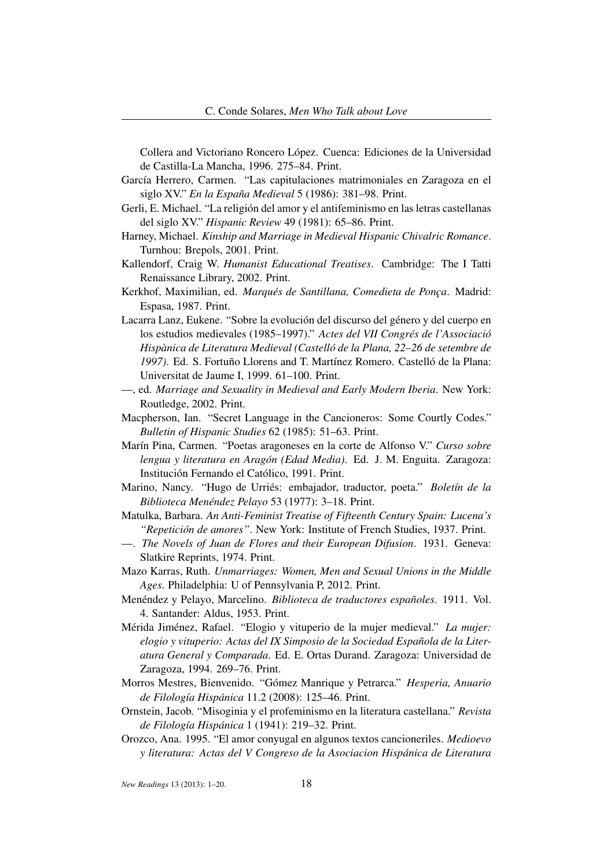Collera and Victoriano Roncero López. Cuenca: Ediciones de la Universidad de Castilla-La Mancha, 1996. 275–84. Print.

- García Herrero, Carmen. "Las capitulaciones matrimoniales en Zaragoza en el siglo XV." *En la España Medieval* 5 (1986): 381–98. Print.
- Gerli, E. Michael. "La religión del amor y el antifeminismo en las letras castellanas del siglo XV." *Hispanic Review* 49 (1981): 65–86. Print.
- Harney, Michael. *Kinship and Marriage in Medieval Hispanic Chivalric Romance*. Turnhou: Brepols, 2001. Print.
- Kallendorf, Craig W. *Humanist Educational Treatises*. Cambridge: The I Tatti Renaissance Library, 2002. Print.
- Kerkhof, Maximilian, ed. *Marqués de Santillana, Comedieta de Ponça*. Madrid: Espasa, 1987. Print.
- Lacarra Lanz, Eukene. "Sobre la evolución del discurso del género y del cuerpo en los estudios medievales (1985–1997)." *Actes del VII Congrés de l'Associació Hispànica de Literatura Medieval (Castelló de la Plana, 22–26 de setembre de 1997)*. Ed. S. Fortuño Llorens and T. Martínez Romero. Castelló de la Plana: Universitat de Jaume I, 1999. 61–100. Print.
- —, ed. *Marriage and Sexuality in Medieval and Early Modern Iberia*. New York: Routledge, 2002. Print.
- Macpherson, Ian. "Secret Language in the Cancioneros: Some Courtly Codes." *Bulletin of Hispanic Studies* 62 (1985): 51–63. Print.
- Marín Pina, Carmen. "Poetas aragoneses en la corte de Alfonso V." *Curso sobre lengua y literatura en Aragón (Edad Media)*. Ed. J. M. Enguita. Zaragoza: Institución Fernando el Católico, 1991. Print.
- Marino, Nancy. "Hugo de Urriés: embajador, traductor, poeta." *Boletín de la Biblioteca Menéndez Pelayo* 53 (1977): 3–18. Print.
- Matulka, Barbara. *An Anti-Feminist Treatise of Fifteenth Century Spain: Lucena's "Repetición de amores"*. New York: Institute of French Studies, 1937. Print.
- —. *The Novels of Juan de Flores and their European Difusion*. 1931. Geneva: Slatkire Reprints, 1974. Print.
- Mazo Karras, Ruth. *Unmarriages: Women, Men and Sexual Unions in the Middle Ages*. Philadelphia: U of Pennsylvania P, 2012. Print.
- Menéndez y Pelayo, Marcelino. *Biblioteca de traductores españoles*. 1911. Vol. 4. Santander: Aldus, 1953. Print.
- Mérida Jiménez, Rafael. "Elogio y vituperio de la mujer medieval." *La mujer: elogio y vituperio: Actas del IX Simposio de la Sociedad Española de la Literatura General y Comparada*. Ed. E. Ortas Durand. Zaragoza: Universidad de Zaragoza, 1994. 269–76. Print.
- Morros Mestres, Bienvenido. "Gómez Manrique y Petrarca." *Hesperia, Anuario de Filología Hispánica* 11.2 (2008): 125–46. Print.
- Ornstein, Jacob. "Misoginia y el profeminismo en la literatura castellana." *Revista de Filología Hispánica* 1 (1941): 219–32. Print.
- Orozco, Ana. 1995. "El amor conyugal en algunos textos cancioneriles. *Medioevo y literatura: Actas del V Congreso de la Asociacion Hispánica de Literatura*

*New Readings* 13 (2013): 1–20. 18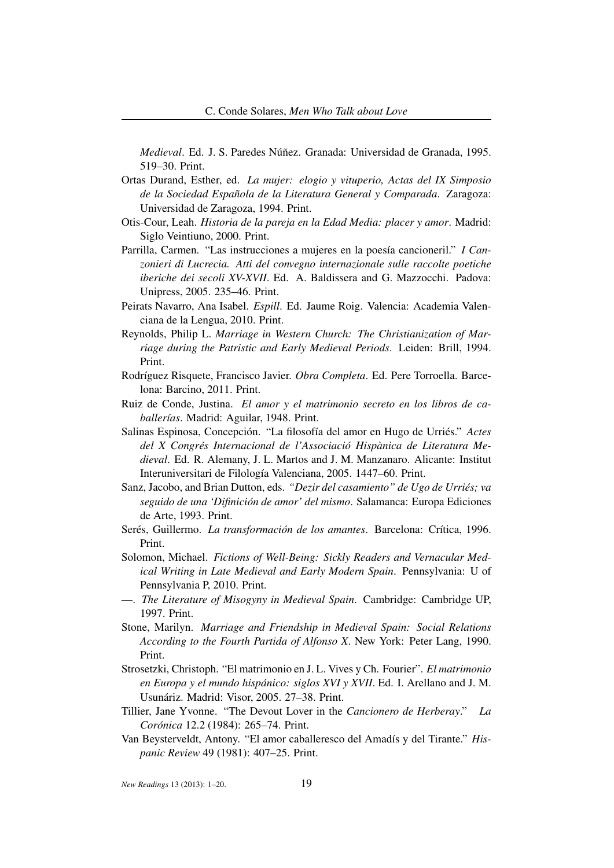*Medieval*. Ed. J. S. Paredes Núñez. Granada: Universidad de Granada, 1995. 519–30. Print.

- Ortas Durand, Esther, ed. *La mujer: elogio y vituperio, Actas del IX Simposio de la Sociedad Española de la Literatura General y Comparada*. Zaragoza: Universidad de Zaragoza, 1994. Print.
- Otis-Cour, Leah. *Historia de la pareja en la Edad Media: placer y amor*. Madrid: Siglo Veintiuno, 2000. Print.
- Parrilla, Carmen. "Las instrucciones a mujeres en la poesía cancioneril." *I Canzonieri di Lucrecia. Atti del convegno internazionale sulle raccolte poetiche iberiche dei secoli XV-XVII*. Ed. A. Baldissera and G. Mazzocchi. Padova: Unipress, 2005. 235–46. Print.
- Peirats Navarro, Ana Isabel. *Espill*. Ed. Jaume Roig. Valencia: Academia Valenciana de la Lengua, 2010. Print.
- Reynolds, Philip L. *Marriage in Western Church: The Christianization of Marriage during the Patristic and Early Medieval Periods*. Leiden: Brill, 1994. Print.
- Rodríguez Risquete, Francisco Javier. *Obra Completa*. Ed. Pere Torroella. Barcelona: Barcino, 2011. Print.
- Ruiz de Conde, Justina. *El amor y el matrimonio secreto en los libros de caballerías*. Madrid: Aguilar, 1948. Print.
- Salinas Espinosa, Concepción. "La filosofía del amor en Hugo de Urriés." *Actes del X Congrés Internacional de l'Associació Hispànica de Literatura Medieval*. Ed. R. Alemany, J. L. Martos and J. M. Manzanaro. Alicante: Institut Interuniversitari de Filología Valenciana, 2005. 1447–60. Print.
- Sanz, Jacobo, and Brian Dutton, eds. *"Dezir del casamiento" de Ugo de Urriés; va seguido de una 'Difinición de amor' del mismo*. Salamanca: Europa Ediciones de Arte, 1993. Print.
- Serés, Guillermo. *La transformación de los amantes*. Barcelona: Crítica, 1996. Print.
- Solomon, Michael. *Fictions of Well-Being: Sickly Readers and Vernacular Medical Writing in Late Medieval and Early Modern Spain*. Pennsylvania: U of Pennsylvania P, 2010. Print.
- —. *The Literature of Misogyny in Medieval Spain*. Cambridge: Cambridge UP, 1997. Print.
- Stone, Marilyn. *Marriage and Friendship in Medieval Spain: Social Relations According to the Fourth Partida of Alfonso X*. New York: Peter Lang, 1990. Print.
- Strosetzki, Christoph. "El matrimonio en J. L. Vives y Ch. Fourier". *El matrimonio en Europa y el mundo hispánico: siglos XVI y XVII*. Ed. I. Arellano and J. M. Usunáriz. Madrid: Visor, 2005. 27–38. Print.
- Tillier, Jane Yvonne. "The Devout Lover in the *Cancionero de Herberay*." *La Corónica* 12.2 (1984): 265–74. Print.
- Van Beysterveldt, Antony. "El amor caballeresco del Amadís y del Tirante." *Hispanic Review* 49 (1981): 407–25. Print.

*New Readings* 13 (2013): 1–20. 19